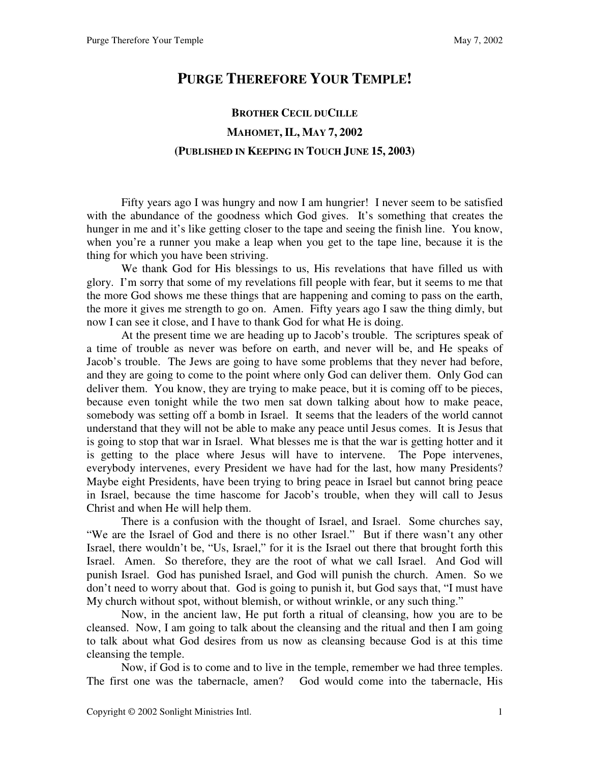## **PURGE THEREFORE YOUR TEMPLE!**

## **BROTHER CECIL DUCILLE MAHOMET, IL, MAY 7, 2002 (PUBLISHED IN KEEPING IN TOUCH JUNE 15, 2003)**

 Fifty years ago I was hungry and now I am hungrier! I never seem to be satisfied with the abundance of the goodness which God gives. It's something that creates the hunger in me and it's like getting closer to the tape and seeing the finish line. You know, when you're a runner you make a leap when you get to the tape line, because it is the thing for which you have been striving.

 We thank God for His blessings to us, His revelations that have filled us with glory. I'm sorry that some of my revelations fill people with fear, but it seems to me that the more God shows me these things that are happening and coming to pass on the earth, the more it gives me strength to go on. Amen. Fifty years ago I saw the thing dimly, but now I can see it close, and I have to thank God for what He is doing.

 At the present time we are heading up to Jacob's trouble. The scriptures speak of a time of trouble as never was before on earth, and never will be, and He speaks of Jacob's trouble. The Jews are going to have some problems that they never had before, and they are going to come to the point where only God can deliver them. Only God can deliver them. You know, they are trying to make peace, but it is coming off to be pieces, because even tonight while the two men sat down talking about how to make peace, somebody was setting off a bomb in Israel. It seems that the leaders of the world cannot understand that they will not be able to make any peace until Jesus comes. It is Jesus that is going to stop that war in Israel. What blesses me is that the war is getting hotter and it is getting to the place where Jesus will have to intervene. The Pope intervenes, everybody intervenes, every President we have had for the last, how many Presidents? Maybe eight Presidents, have been trying to bring peace in Israel but cannot bring peace in Israel, because the time hascome for Jacob's trouble, when they will call to Jesus Christ and when He will help them.

 There is a confusion with the thought of Israel, and Israel. Some churches say, "We are the Israel of God and there is no other Israel." But if there wasn't any other Israel, there wouldn't be, "Us, Israel," for it is the Israel out there that brought forth this Israel. Amen. So therefore, they are the root of what we call Israel. And God will punish Israel. God has punished Israel, and God will punish the church. Amen. So we don't need to worry about that. God is going to punish it, but God says that, "I must have My church without spot, without blemish, or without wrinkle, or any such thing."

 Now, in the ancient law, He put forth a ritual of cleansing, how you are to be cleansed. Now, I am going to talk about the cleansing and the ritual and then I am going to talk about what God desires from us now as cleansing because God is at this time cleansing the temple.

 Now, if God is to come and to live in the temple, remember we had three temples. The first one was the tabernacle, amen? God would come into the tabernacle, His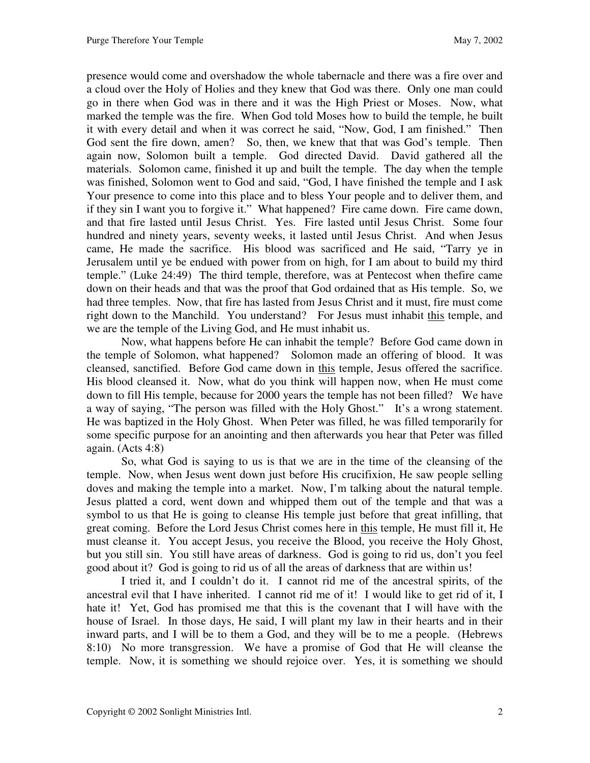presence would come and overshadow the whole tabernacle and there was a fire over and a cloud over the Holy of Holies and they knew that God was there. Only one man could go in there when God was in there and it was the High Priest or Moses. Now, what marked the temple was the fire. When God told Moses how to build the temple, he built it with every detail and when it was correct he said, "Now, God, I am finished." Then God sent the fire down, amen? So, then, we knew that that was God's temple. Then again now, Solomon built a temple. God directed David. David gathered all the materials. Solomon came, finished it up and built the temple. The day when the temple was finished, Solomon went to God and said, "God, I have finished the temple and I ask Your presence to come into this place and to bless Your people and to deliver them, and if they sin I want you to forgive it." What happened? Fire came down. Fire came down, and that fire lasted until Jesus Christ. Yes. Fire lasted until Jesus Christ. Some four hundred and ninety years, seventy weeks, it lasted until Jesus Christ. And when Jesus came, He made the sacrifice. His blood was sacrificed and He said, "Tarry ye in Jerusalem until ye be endued with power from on high, for I am about to build my third temple." (Luke 24:49) The third temple, therefore, was at Pentecost when thefire came down on their heads and that was the proof that God ordained that as His temple. So, we had three temples. Now, that fire has lasted from Jesus Christ and it must, fire must come right down to the Manchild. You understand? For Jesus must inhabit this temple, and we are the temple of the Living God, and He must inhabit us.

 Now, what happens before He can inhabit the temple? Before God came down in the temple of Solomon, what happened? Solomon made an offering of blood. It was cleansed, sanctified. Before God came down in this temple, Jesus offered the sacrifice. His blood cleansed it. Now, what do you think will happen now, when He must come down to fill His temple, because for 2000 years the temple has not been filled? We have a way of saying, "The person was filled with the Holy Ghost." It's a wrong statement. He was baptized in the Holy Ghost. When Peter was filled, he was filled temporarily for some specific purpose for an anointing and then afterwards you hear that Peter was filled again. (Acts 4:8)

 So, what God is saying to us is that we are in the time of the cleansing of the temple. Now, when Jesus went down just before His crucifixion, He saw people selling doves and making the temple into a market. Now, I'm talking about the natural temple. Jesus platted a cord, went down and whipped them out of the temple and that was a symbol to us that He is going to cleanse His temple just before that great infilling, that great coming. Before the Lord Jesus Christ comes here in this temple, He must fill it, He must cleanse it. You accept Jesus, you receive the Blood, you receive the Holy Ghost, but you still sin. You still have areas of darkness. God is going to rid us, don't you feel good about it? God is going to rid us of all the areas of darkness that are within us!

 I tried it, and I couldn't do it. I cannot rid me of the ancestral spirits, of the ancestral evil that I have inherited. I cannot rid me of it! I would like to get rid of it, I hate it! Yet, God has promised me that this is the covenant that I will have with the house of Israel. In those days, He said, I will plant my law in their hearts and in their inward parts, and I will be to them a God, and they will be to me a people. (Hebrews 8:10) No more transgression. We have a promise of God that He will cleanse the temple. Now, it is something we should rejoice over. Yes, it is something we should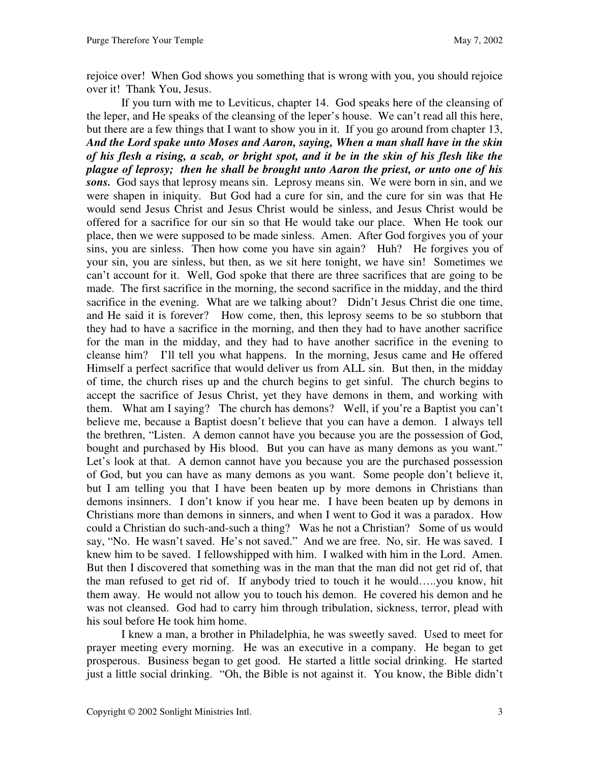rejoice over! When God shows you something that is wrong with you, you should rejoice over it! Thank You, Jesus.

 If you turn with me to Leviticus, chapter 14. God speaks here of the cleansing of the leper, and He speaks of the cleansing of the leper's house. We can't read all this here, but there are a few things that I want to show you in it. If you go around from chapter 13, *And the Lord spake unto Moses and Aaron, saying, When a man shall have in the skin of his flesh a rising, a scab, or bright spot, and it be in the skin of his flesh like the plague of leprosy; then he shall be brought unto Aaron the priest, or unto one of his sons.* God says that leprosy means sin. Leprosy means sin. We were born in sin, and we were shapen in iniquity. But God had a cure for sin, and the cure for sin was that He would send Jesus Christ and Jesus Christ would be sinless, and Jesus Christ would be offered for a sacrifice for our sin so that He would take our place. When He took our place, then we were supposed to be made sinless. Amen. After God forgives you of your sins, you are sinless. Then how come you have sin again? Huh? He forgives you of your sin, you are sinless, but then, as we sit here tonight, we have sin! Sometimes we can't account for it. Well, God spoke that there are three sacrifices that are going to be made. The first sacrifice in the morning, the second sacrifice in the midday, and the third sacrifice in the evening. What are we talking about? Didn't Jesus Christ die one time, and He said it is forever? How come, then, this leprosy seems to be so stubborn that they had to have a sacrifice in the morning, and then they had to have another sacrifice for the man in the midday, and they had to have another sacrifice in the evening to cleanse him? I'll tell you what happens. In the morning, Jesus came and He offered Himself a perfect sacrifice that would deliver us from ALL sin. But then, in the midday of time, the church rises up and the church begins to get sinful. The church begins to accept the sacrifice of Jesus Christ, yet they have demons in them, and working with them. What am I saying? The church has demons? Well, if you're a Baptist you can't believe me, because a Baptist doesn't believe that you can have a demon. I always tell the brethren, "Listen. A demon cannot have you because you are the possession of God, bought and purchased by His blood. But you can have as many demons as you want." Let's look at that. A demon cannot have you because you are the purchased possession of God, but you can have as many demons as you want. Some people don't believe it, but I am telling you that I have been beaten up by more demons in Christians than demons insinners. I don't know if you hear me. I have been beaten up by demons in Christians more than demons in sinners, and when I went to God it was a paradox. How could a Christian do such-and-such a thing? Was he not a Christian? Some of us would say, "No. He wasn't saved. He's not saved." And we are free. No, sir. He was saved. I knew him to be saved. I fellowshipped with him. I walked with him in the Lord. Amen. But then I discovered that something was in the man that the man did not get rid of, that the man refused to get rid of. If anybody tried to touch it he would…..you know, hit them away. He would not allow you to touch his demon. He covered his demon and he was not cleansed. God had to carry him through tribulation, sickness, terror, plead with his soul before He took him home.

 I knew a man, a brother in Philadelphia, he was sweetly saved. Used to meet for prayer meeting every morning. He was an executive in a company. He began to get prosperous. Business began to get good. He started a little social drinking. He started just a little social drinking. "Oh, the Bible is not against it. You know, the Bible didn't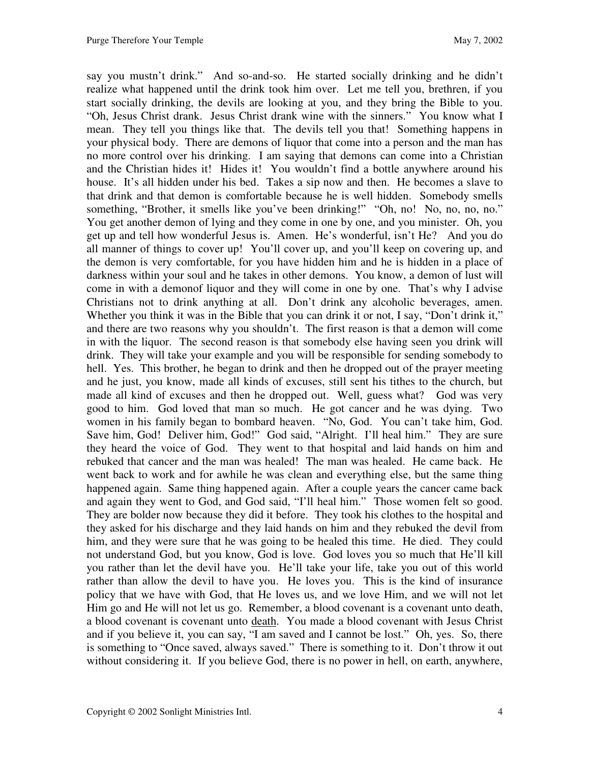say you mustn't drink." And so-and-so. He started socially drinking and he didn't realize what happened until the drink took him over. Let me tell you, brethren, if you start socially drinking, the devils are looking at you, and they bring the Bible to you. "Oh, Jesus Christ drank. Jesus Christ drank wine with the sinners." You know what I mean. They tell you things like that. The devils tell you that! Something happens in your physical body. There are demons of liquor that come into a person and the man has no more control over his drinking. I am saying that demons can come into a Christian and the Christian hides it! Hides it! You wouldn't find a bottle anywhere around his house. It's all hidden under his bed. Takes a sip now and then. He becomes a slave to that drink and that demon is comfortable because he is well hidden. Somebody smells something, "Brother, it smells like you've been drinking!" "Oh, no! No, no, no, no." You get another demon of lying and they come in one by one, and you minister. Oh, you get up and tell how wonderful Jesus is. Amen. He's wonderful, isn't He? And you do all manner of things to cover up! You'll cover up, and you'll keep on covering up, and the demon is very comfortable, for you have hidden him and he is hidden in a place of darkness within your soul and he takes in other demons. You know, a demon of lust will come in with a demonof liquor and they will come in one by one. That's why I advise Christians not to drink anything at all. Don't drink any alcoholic beverages, amen. Whether you think it was in the Bible that you can drink it or not, I say, "Don't drink it," and there are two reasons why you shouldn't. The first reason is that a demon will come in with the liquor. The second reason is that somebody else having seen you drink will drink. They will take your example and you will be responsible for sending somebody to hell. Yes. This brother, he began to drink and then he dropped out of the prayer meeting and he just, you know, made all kinds of excuses, still sent his tithes to the church, but made all kind of excuses and then he dropped out. Well, guess what? God was very good to him. God loved that man so much. He got cancer and he was dying. Two women in his family began to bombard heaven. "No, God. You can't take him, God. Save him, God! Deliver him, God!" God said, "Alright. I'll heal him." They are sure they heard the voice of God. They went to that hospital and laid hands on him and rebuked that cancer and the man was healed! The man was healed. He came back. He went back to work and for awhile he was clean and everything else, but the same thing happened again. Same thing happened again. After a couple years the cancer came back and again they went to God, and God said, "I'll heal him." Those women felt so good. They are bolder now because they did it before. They took his clothes to the hospital and they asked for his discharge and they laid hands on him and they rebuked the devil from him, and they were sure that he was going to be healed this time. He died. They could not understand God, but you know, God is love. God loves you so much that He'll kill you rather than let the devil have you. He'll take your life, take you out of this world rather than allow the devil to have you. He loves you. This is the kind of insurance policy that we have with God, that He loves us, and we love Him, and we will not let Him go and He will not let us go. Remember, a blood covenant is a covenant unto death, a blood covenant is covenant unto death. You made a blood covenant with Jesus Christ and if you believe it, you can say, "I am saved and I cannot be lost." Oh, yes. So, there is something to "Once saved, always saved." There is something to it. Don't throw it out without considering it. If you believe God, there is no power in hell, on earth, anywhere,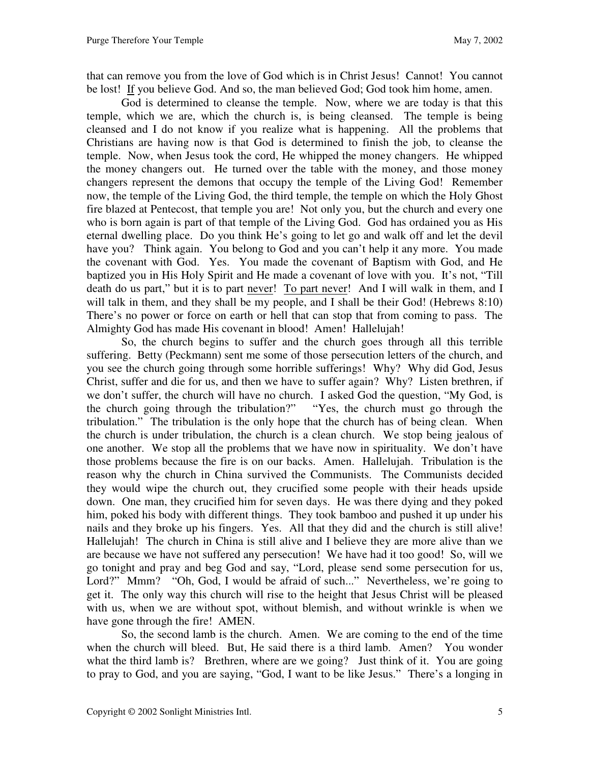that can remove you from the love of God which is in Christ Jesus! Cannot! You cannot be lost! If you believe God. And so, the man believed God; God took him home, amen.

 God is determined to cleanse the temple. Now, where we are today is that this temple, which we are, which the church is, is being cleansed. The temple is being cleansed and I do not know if you realize what is happening. All the problems that Christians are having now is that God is determined to finish the job, to cleanse the temple. Now, when Jesus took the cord, He whipped the money changers. He whipped the money changers out. He turned over the table with the money, and those money changers represent the demons that occupy the temple of the Living God! Remember now, the temple of the Living God, the third temple, the temple on which the Holy Ghost fire blazed at Pentecost, that temple you are! Not only you, but the church and every one who is born again is part of that temple of the Living God. God has ordained you as His eternal dwelling place. Do you think He's going to let go and walk off and let the devil have you? Think again. You belong to God and you can't help it any more. You made the covenant with God. Yes. You made the covenant of Baptism with God, and He baptized you in His Holy Spirit and He made a covenant of love with you. It's not, "Till death do us part," but it is to part never! To part never! And I will walk in them, and I will talk in them, and they shall be my people, and I shall be their God! (Hebrews 8:10) There's no power or force on earth or hell that can stop that from coming to pass. The Almighty God has made His covenant in blood! Amen! Hallelujah!

 So, the church begins to suffer and the church goes through all this terrible suffering. Betty (Peckmann) sent me some of those persecution letters of the church, and you see the church going through some horrible sufferings! Why? Why did God, Jesus Christ, suffer and die for us, and then we have to suffer again? Why? Listen brethren, if we don't suffer, the church will have no church. I asked God the question, "My God, is the church going through the tribulation?" "Yes, the church must go through the tribulation." The tribulation is the only hope that the church has of being clean. When the church is under tribulation, the church is a clean church. We stop being jealous of one another. We stop all the problems that we have now in spirituality. We don't have those problems because the fire is on our backs. Amen. Hallelujah. Tribulation is the reason why the church in China survived the Communists. The Communists decided they would wipe the church out, they crucified some people with their heads upside down. One man, they crucified him for seven days. He was there dying and they poked him, poked his body with different things. They took bamboo and pushed it up under his nails and they broke up his fingers. Yes. All that they did and the church is still alive! Hallelujah! The church in China is still alive and I believe they are more alive than we are because we have not suffered any persecution! We have had it too good! So, will we go tonight and pray and beg God and say, "Lord, please send some persecution for us, Lord?" Mmm? "Oh, God, I would be afraid of such..." Nevertheless, we're going to get it. The only way this church will rise to the height that Jesus Christ will be pleased with us, when we are without spot, without blemish, and without wrinkle is when we have gone through the fire! AMEN.

 So, the second lamb is the church. Amen. We are coming to the end of the time when the church will bleed. But, He said there is a third lamb. Amen? You wonder what the third lamb is? Brethren, where are we going? Just think of it. You are going to pray to God, and you are saying, "God, I want to be like Jesus." There's a longing in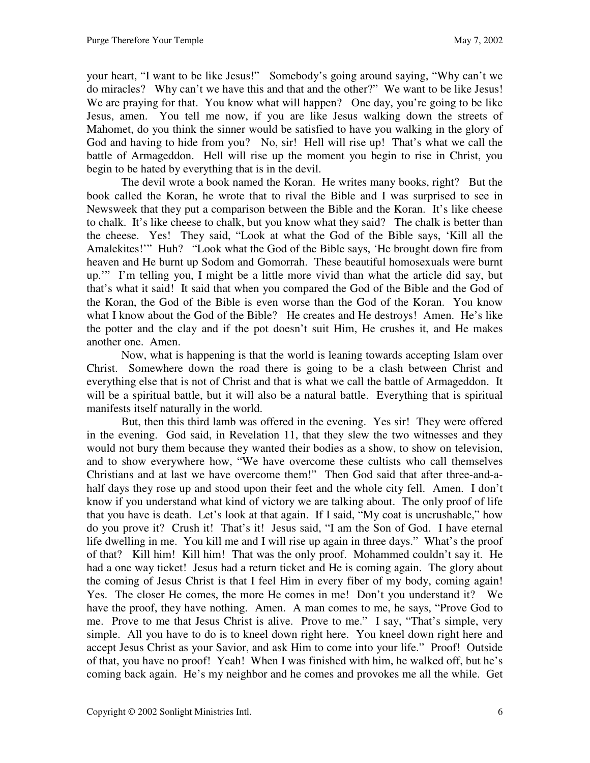your heart, "I want to be like Jesus!" Somebody's going around saying, "Why can't we do miracles? Why can't we have this and that and the other?" We want to be like Jesus! We are praying for that. You know what will happen? One day, you're going to be like Jesus, amen. You tell me now, if you are like Jesus walking down the streets of Mahomet, do you think the sinner would be satisfied to have you walking in the glory of God and having to hide from you? No, sir! Hell will rise up! That's what we call the battle of Armageddon. Hell will rise up the moment you begin to rise in Christ, you begin to be hated by everything that is in the devil.

 The devil wrote a book named the Koran. He writes many books, right? But the book called the Koran, he wrote that to rival the Bible and I was surprised to see in Newsweek that they put a comparison between the Bible and the Koran. It's like cheese to chalk. It's like cheese to chalk, but you know what they said? The chalk is better than the cheese. Yes! They said, "Look at what the God of the Bible says, 'Kill all the Amalekites!'" Huh? "Look what the God of the Bible says, 'He brought down fire from heaven and He burnt up Sodom and Gomorrah. These beautiful homosexuals were burnt up.'" I'm telling you, I might be a little more vivid than what the article did say, but that's what it said! It said that when you compared the God of the Bible and the God of the Koran, the God of the Bible is even worse than the God of the Koran. You know what I know about the God of the Bible? He creates and He destroys! Amen. He's like the potter and the clay and if the pot doesn't suit Him, He crushes it, and He makes another one. Amen.

 Now, what is happening is that the world is leaning towards accepting Islam over Christ. Somewhere down the road there is going to be a clash between Christ and everything else that is not of Christ and that is what we call the battle of Armageddon. It will be a spiritual battle, but it will also be a natural battle. Everything that is spiritual manifests itself naturally in the world.

 But, then this third lamb was offered in the evening. Yes sir! They were offered in the evening. God said, in Revelation 11, that they slew the two witnesses and they would not bury them because they wanted their bodies as a show, to show on television, and to show everywhere how, "We have overcome these cultists who call themselves Christians and at last we have overcome them!" Then God said that after three-and-ahalf days they rose up and stood upon their feet and the whole city fell. Amen. I don't know if you understand what kind of victory we are talking about. The only proof of life that you have is death. Let's look at that again. If I said, "My coat is uncrushable," how do you prove it? Crush it! That's it! Jesus said, "I am the Son of God. I have eternal life dwelling in me. You kill me and I will rise up again in three days." What's the proof of that? Kill him! Kill him! That was the only proof. Mohammed couldn't say it. He had a one way ticket! Jesus had a return ticket and He is coming again. The glory about the coming of Jesus Christ is that I feel Him in every fiber of my body, coming again! Yes. The closer He comes, the more He comes in me! Don't you understand it? We have the proof, they have nothing. Amen. A man comes to me, he says, "Prove God to me. Prove to me that Jesus Christ is alive. Prove to me." I say, "That's simple, very simple. All you have to do is to kneel down right here. You kneel down right here and accept Jesus Christ as your Savior, and ask Him to come into your life." Proof! Outside of that, you have no proof! Yeah! When I was finished with him, he walked off, but he's coming back again. He's my neighbor and he comes and provokes me all the while. Get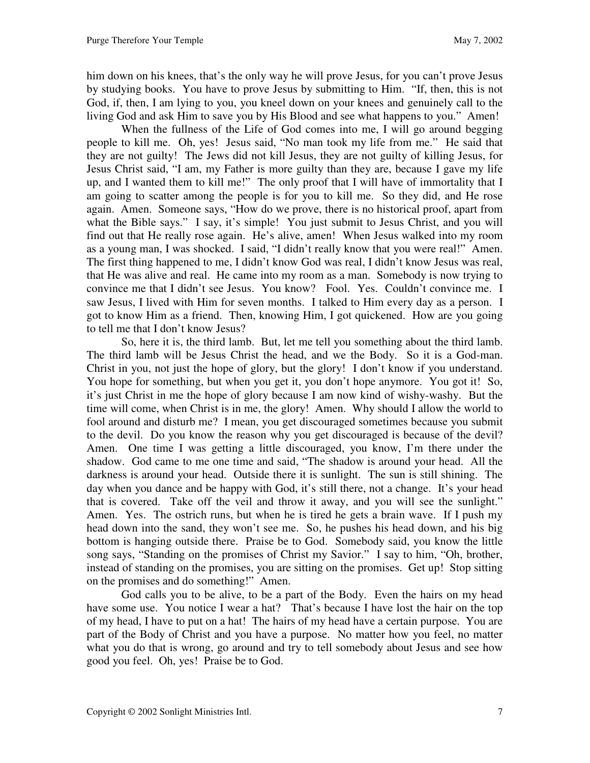him down on his knees, that's the only way he will prove Jesus, for you can't prove Jesus by studying books. You have to prove Jesus by submitting to Him. "If, then, this is not God, if, then, I am lying to you, you kneel down on your knees and genuinely call to the living God and ask Him to save you by His Blood and see what happens to you." Amen!

 When the fullness of the Life of God comes into me, I will go around begging people to kill me. Oh, yes! Jesus said, "No man took my life from me." He said that they are not guilty! The Jews did not kill Jesus, they are not guilty of killing Jesus, for Jesus Christ said, "I am, my Father is more guilty than they are, because I gave my life up, and I wanted them to kill me!" The only proof that I will have of immortality that I am going to scatter among the people is for you to kill me. So they did, and He rose again. Amen. Someone says, "How do we prove, there is no historical proof, apart from what the Bible says." I say, it's simple! You just submit to Jesus Christ, and you will find out that He really rose again. He's alive, amen! When Jesus walked into my room as a young man, I was shocked. I said, "I didn't really know that you were real!" Amen. The first thing happened to me, I didn't know God was real, I didn't know Jesus was real, that He was alive and real. He came into my room as a man. Somebody is now trying to convince me that I didn't see Jesus. You know? Fool. Yes. Couldn't convince me. I saw Jesus, I lived with Him for seven months. I talked to Him every day as a person. I got to know Him as a friend. Then, knowing Him, I got quickened. How are you going to tell me that I don't know Jesus?

 So, here it is, the third lamb. But, let me tell you something about the third lamb. The third lamb will be Jesus Christ the head, and we the Body. So it is a God-man. Christ in you, not just the hope of glory, but the glory! I don't know if you understand. You hope for something, but when you get it, you don't hope anymore. You got it! So, it's just Christ in me the hope of glory because I am now kind of wishy-washy. But the time will come, when Christ is in me, the glory! Amen. Why should I allow the world to fool around and disturb me? I mean, you get discouraged sometimes because you submit to the devil. Do you know the reason why you get discouraged is because of the devil? Amen. One time I was getting a little discouraged, you know, I'm there under the shadow. God came to me one time and said, "The shadow is around your head. All the darkness is around your head. Outside there it is sunlight. The sun is still shining. The day when you dance and be happy with God, it's still there, not a change. It's your head that is covered. Take off the veil and throw it away, and you will see the sunlight." Amen. Yes. The ostrich runs, but when he is tired he gets a brain wave. If I push my head down into the sand, they won't see me. So, he pushes his head down, and his big bottom is hanging outside there. Praise be to God. Somebody said, you know the little song says, "Standing on the promises of Christ my Savior." I say to him, "Oh, brother, instead of standing on the promises, you are sitting on the promises. Get up! Stop sitting on the promises and do something!" Amen.

 God calls you to be alive, to be a part of the Body. Even the hairs on my head have some use. You notice I wear a hat? That's because I have lost the hair on the top of my head, I have to put on a hat! The hairs of my head have a certain purpose. You are part of the Body of Christ and you have a purpose. No matter how you feel, no matter what you do that is wrong, go around and try to tell somebody about Jesus and see how good you feel. Oh, yes! Praise be to God.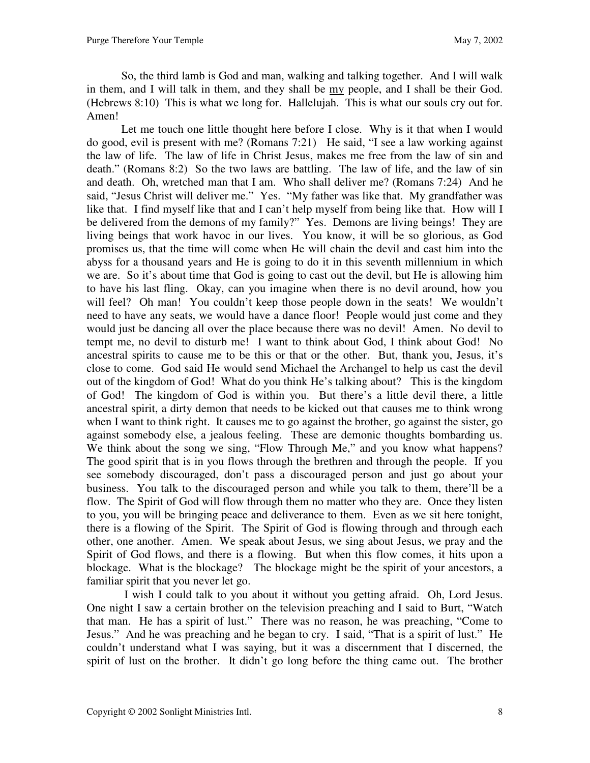So, the third lamb is God and man, walking and talking together. And I will walk in them, and I will talk in them, and they shall be my people, and I shall be their God. (Hebrews 8:10) This is what we long for. Hallelujah. This is what our souls cry out for. Amen!

Let me touch one little thought here before I close. Why is it that when I would do good, evil is present with me? (Romans 7:21) He said, "I see a law working against the law of life. The law of life in Christ Jesus, makes me free from the law of sin and death." (Romans 8:2) So the two laws are battling. The law of life, and the law of sin and death. Oh, wretched man that I am. Who shall deliver me? (Romans 7:24) And he said, "Jesus Christ will deliver me." Yes. "My father was like that. My grandfather was like that. I find myself like that and I can't help myself from being like that. How will I be delivered from the demons of my family?" Yes. Demons are living beings! They are living beings that work havoc in our lives. You know, it will be so glorious, as God promises us, that the time will come when He will chain the devil and cast him into the abyss for a thousand years and He is going to do it in this seventh millennium in which we are. So it's about time that God is going to cast out the devil, but He is allowing him to have his last fling. Okay, can you imagine when there is no devil around, how you will feel? Oh man! You couldn't keep those people down in the seats! We wouldn't need to have any seats, we would have a dance floor! People would just come and they would just be dancing all over the place because there was no devil! Amen. No devil to tempt me, no devil to disturb me! I want to think about God, I think about God! No ancestral spirits to cause me to be this or that or the other. But, thank you, Jesus, it's close to come. God said He would send Michael the Archangel to help us cast the devil out of the kingdom of God! What do you think He's talking about? This is the kingdom of God! The kingdom of God is within you. But there's a little devil there, a little ancestral spirit, a dirty demon that needs to be kicked out that causes me to think wrong when I want to think right. It causes me to go against the brother, go against the sister, go against somebody else, a jealous feeling. These are demonic thoughts bombarding us. We think about the song we sing, "Flow Through Me," and you know what happens? The good spirit that is in you flows through the brethren and through the people. If you see somebody discouraged, don't pass a discouraged person and just go about your business. You talk to the discouraged person and while you talk to them, there'll be a flow. The Spirit of God will flow through them no matter who they are. Once they listen to you, you will be bringing peace and deliverance to them. Even as we sit here tonight, there is a flowing of the Spirit. The Spirit of God is flowing through and through each other, one another. Amen. We speak about Jesus, we sing about Jesus, we pray and the Spirit of God flows, and there is a flowing. But when this flow comes, it hits upon a blockage. What is the blockage? The blockage might be the spirit of your ancestors, a familiar spirit that you never let go.

 I wish I could talk to you about it without you getting afraid. Oh, Lord Jesus. One night I saw a certain brother on the television preaching and I said to Burt, "Watch that man. He has a spirit of lust." There was no reason, he was preaching, "Come to Jesus." And he was preaching and he began to cry. I said, "That is a spirit of lust." He couldn't understand what I was saying, but it was a discernment that I discerned, the spirit of lust on the brother. It didn't go long before the thing came out. The brother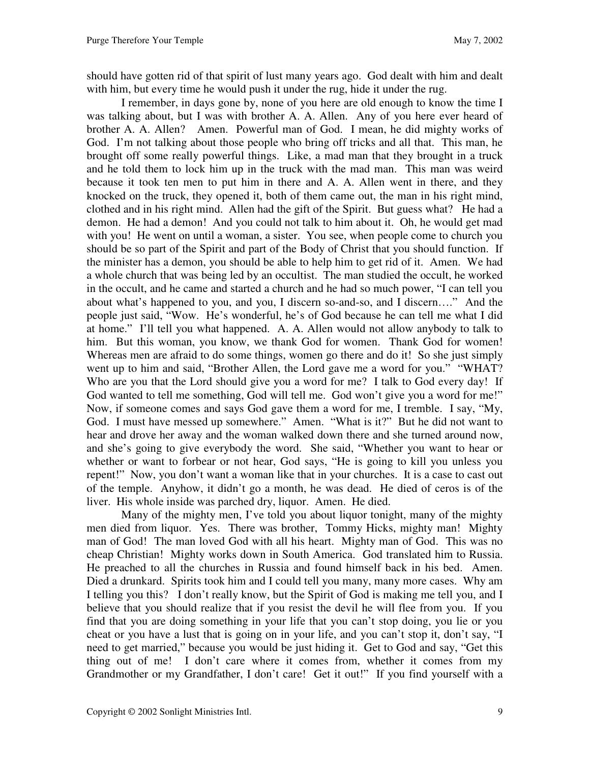should have gotten rid of that spirit of lust many years ago. God dealt with him and dealt with him, but every time he would push it under the rug, hide it under the rug.

 I remember, in days gone by, none of you here are old enough to know the time I was talking about, but I was with brother A. A. Allen. Any of you here ever heard of brother A. A. Allen? Amen. Powerful man of God. I mean, he did mighty works of God. I'm not talking about those people who bring off tricks and all that. This man, he brought off some really powerful things. Like, a mad man that they brought in a truck and he told them to lock him up in the truck with the mad man. This man was weird because it took ten men to put him in there and A. A. Allen went in there, and they knocked on the truck, they opened it, both of them came out, the man in his right mind, clothed and in his right mind. Allen had the gift of the Spirit. But guess what? He had a demon. He had a demon! And you could not talk to him about it. Oh, he would get mad with you! He went on until a woman, a sister. You see, when people come to church you should be so part of the Spirit and part of the Body of Christ that you should function. If the minister has a demon, you should be able to help him to get rid of it. Amen. We had a whole church that was being led by an occultist. The man studied the occult, he worked in the occult, and he came and started a church and he had so much power, "I can tell you about what's happened to you, and you, I discern so-and-so, and I discern…." And the people just said, "Wow. He's wonderful, he's of God because he can tell me what I did at home." I'll tell you what happened. A. A. Allen would not allow anybody to talk to him. But this woman, you know, we thank God for women. Thank God for women! Whereas men are afraid to do some things, women go there and do it! So she just simply went up to him and said, "Brother Allen, the Lord gave me a word for you." "WHAT? Who are you that the Lord should give you a word for me? I talk to God every day! If God wanted to tell me something, God will tell me. God won't give you a word for me!" Now, if someone comes and says God gave them a word for me, I tremble. I say, "My, God. I must have messed up somewhere." Amen. "What is it?" But he did not want to hear and drove her away and the woman walked down there and she turned around now, and she's going to give everybody the word. She said, "Whether you want to hear or whether or want to forbear or not hear, God says, "He is going to kill you unless you repent!" Now, you don't want a woman like that in your churches. It is a case to cast out of the temple. Anyhow, it didn't go a month, he was dead. He died of ceros is of the liver. His whole inside was parched dry, liquor. Amen. He died.

 Many of the mighty men, I've told you about liquor tonight, many of the mighty men died from liquor. Yes. There was brother, Tommy Hicks, mighty man! Mighty man of God! The man loved God with all his heart. Mighty man of God. This was no cheap Christian! Mighty works down in South America. God translated him to Russia. He preached to all the churches in Russia and found himself back in his bed. Amen. Died a drunkard. Spirits took him and I could tell you many, many more cases. Why am I telling you this? I don't really know, but the Spirit of God is making me tell you, and I believe that you should realize that if you resist the devil he will flee from you. If you find that you are doing something in your life that you can't stop doing, you lie or you cheat or you have a lust that is going on in your life, and you can't stop it, don't say, "I need to get married," because you would be just hiding it. Get to God and say, "Get this thing out of me! I don't care where it comes from, whether it comes from my Grandmother or my Grandfather, I don't care! Get it out!" If you find yourself with a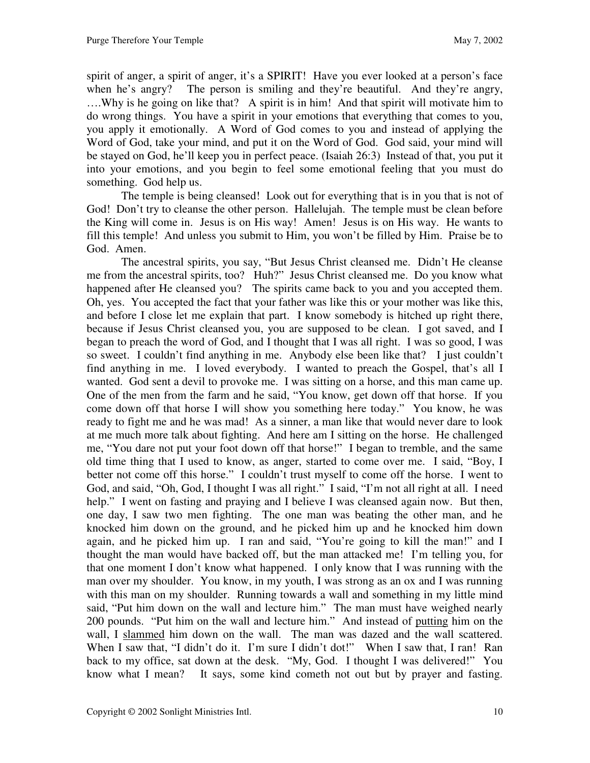spirit of anger, a spirit of anger, it's a SPIRIT! Have you ever looked at a person's face when he's angry? The person is smiling and they're beautiful. And they're angry, ….Why is he going on like that? A spirit is in him! And that spirit will motivate him to do wrong things. You have a spirit in your emotions that everything that comes to you, you apply it emotionally. A Word of God comes to you and instead of applying the Word of God, take your mind, and put it on the Word of God. God said, your mind will be stayed on God, he'll keep you in perfect peace. (Isaiah 26:3) Instead of that, you put it into your emotions, and you begin to feel some emotional feeling that you must do something. God help us.

 The temple is being cleansed! Look out for everything that is in you that is not of God! Don't try to cleanse the other person. Hallelujah. The temple must be clean before the King will come in. Jesus is on His way! Amen! Jesus is on His way. He wants to fill this temple! And unless you submit to Him, you won't be filled by Him. Praise be to God. Amen.

 The ancestral spirits, you say, "But Jesus Christ cleansed me. Didn't He cleanse me from the ancestral spirits, too? Huh?" Jesus Christ cleansed me. Do you know what happened after He cleansed you? The spirits came back to you and you accepted them. Oh, yes. You accepted the fact that your father was like this or your mother was like this, and before I close let me explain that part. I know somebody is hitched up right there, because if Jesus Christ cleansed you, you are supposed to be clean. I got saved, and I began to preach the word of God, and I thought that I was all right. I was so good, I was so sweet. I couldn't find anything in me. Anybody else been like that? I just couldn't find anything in me. I loved everybody. I wanted to preach the Gospel, that's all I wanted. God sent a devil to provoke me. I was sitting on a horse, and this man came up. One of the men from the farm and he said, "You know, get down off that horse. If you come down off that horse I will show you something here today." You know, he was ready to fight me and he was mad! As a sinner, a man like that would never dare to look at me much more talk about fighting. And here am I sitting on the horse. He challenged me, "You dare not put your foot down off that horse!" I began to tremble, and the same old time thing that I used to know, as anger, started to come over me. I said, "Boy, I better not come off this horse." I couldn't trust myself to come off the horse. I went to God, and said, "Oh, God, I thought I was all right." I said, "I'm not all right at all. I need help." I went on fasting and praying and I believe I was cleansed again now. But then, one day, I saw two men fighting. The one man was beating the other man, and he knocked him down on the ground, and he picked him up and he knocked him down again, and he picked him up. I ran and said, "You're going to kill the man!" and I thought the man would have backed off, but the man attacked me! I'm telling you, for that one moment I don't know what happened. I only know that I was running with the man over my shoulder. You know, in my youth, I was strong as an ox and I was running with this man on my shoulder. Running towards a wall and something in my little mind said, "Put him down on the wall and lecture him." The man must have weighed nearly 200 pounds. "Put him on the wall and lecture him." And instead of putting him on the wall, I slammed him down on the wall. The man was dazed and the wall scattered. When I saw that, "I didn't do it. I'm sure I didn't dot!" When I saw that, I ran! Ran back to my office, sat down at the desk. "My, God. I thought I was delivered!" You know what I mean? It says, some kind cometh not out but by prayer and fasting.